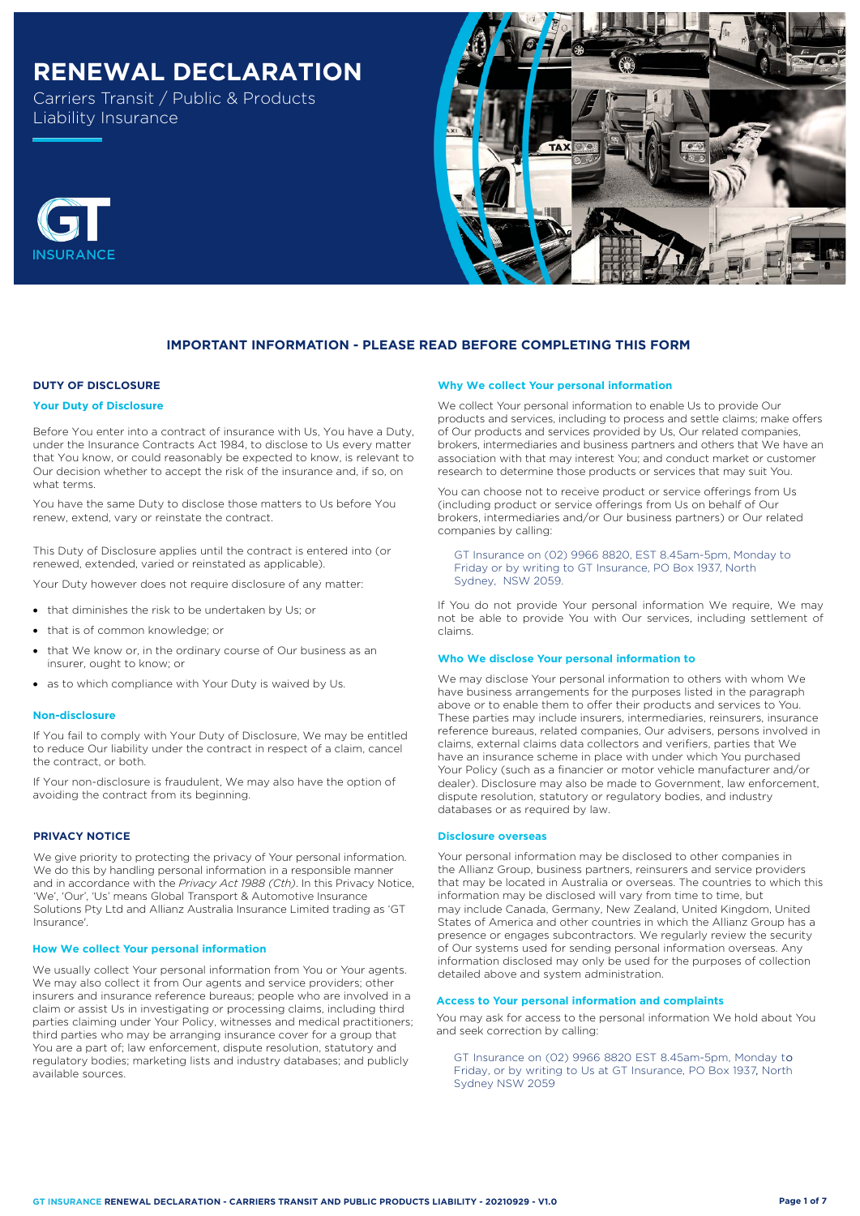# **RENEWAL DECLARATION**

Carriers Transit / Public & Products Liability Insurance





# **DUTY OF DISCLOSURE**

#### **Your Duty of Disclosure**

Before You enter into a contract of insurance with Us, You have a Duty, under the Insurance Contracts Act 1984, to disclose to Us every matter that You know, or could reasonably be expected to know, is relevant to Our decision whether to accept the risk of the insurance and, if so, on what terms.

You have the same Duty to disclose those matters to Us before You renew, extend, vary or reinstate the contract.

This Duty of Disclosure applies until the contract is entered into (or renewed, extended, varied or reinstated as applicable).

Your Duty however does not require disclosure of any matter:

- that diminishes the risk to be undertaken by Us; or
- that is of common knowledge; or
- that We know or, in the ordinary course of Our business as an insurer, ought to know; or
- as to which compliance with Your Duty is waived by Us.

#### **Non-disclosure**

If You fail to comply with Your Duty of Disclosure, We may be entitled to reduce Our liability under the contract in respect of a claim, cancel the contract, or both.

If Your non-disclosure is fraudulent, We may also have the option of avoiding the contract from its beginning.

# **PRIVACY NOTICE**

We give priority to protecting the privacy of Your personal information. We do this by handling personal information in a responsible manner and in accordance with the *Privacy Act 1988 (Cth)*. In this Privacy Notice, 'We', 'Our', 'Us' means Global Transport & Automotive Insurance Solutions Pty Ltd and Allianz Australia Insurance Limited trading as 'GT Insurance'.

#### **How We collect Your personal information**

We usually collect Your personal information from You or Your agents. We may also collect it from Our agents and service providers; other insurers and insurance reference bureaus; people who are involved in a claim or assist Us in investigating or processing claims, including third parties claiming under Your Policy, witnesses and medical practitioners; third parties who may be arranging insurance cover for a group that You are a part of; law enforcement, dispute resolution, statutory and regulatory bodies; marketing lists and industry databases; and publicly available sources. , Friday, or by writing to Us at GT Insurance, PO Box 1937, North

#### **Why We collect Your personal information**

We collect Your personal information to enable Us to provide Our products and services, including to process and settle claims; make offers of Our products and services provided by Us, Our related companies, brokers, intermediaries and business partners and others that We have an association with that may interest You; and conduct market or customer research to determine those products or services that may suit You.

You can choose not to receive product or service offerings from Us (including product or service offerings from Us on behalf of Our brokers, intermediaries and/or Our business partners) or Our related companies by calling:

GT Insurance on (02) 9966 8820, EST 8.45am-5pm, Monday to Friday or by writing to GT Insurance, PO Box 1937, North Sydney, NSW 2059.

If You do not provide Your personal information We require, We may not be able to provide You with Our services, including settlement of claims.

#### **Who We disclose Your personal information to**

We may disclose Your personal information to others with whom We have business arrangements for the purposes listed in the paragraph above or to enable them to offer their products and services to You. These parties may include insurers, intermediaries, reinsurers, insurance reference bureaus, related companies, Our advisers, persons involved in claims, external claims data collectors and verifiers, parties that We have an insurance scheme in place with under which You purchased Your Policy (such as a financier or motor vehicle manufacturer and/or dealer). Disclosure may also be made to Government, law enforcement, dispute resolution, statutory or regulatory bodies, and industry databases or as required by law.

#### **Disclosure overseas**

Your personal information may be disclosed to other companies in the Allianz Group, business partners, reinsurers and service providers that may be located in Australia or overseas. The countries to which this information may be disclosed will vary from time to time, but may include Canada, Germany, New Zealand, United Kingdom, United States of America and other countries in which the Allianz Group has a presence or engages subcontractors. We regularly review the security of Our systems used for sending personal information overseas. Any information disclosed may only be used for the purposes of collection detailed above and system administration.

# **Access to Your personal information and complaints**

You may ask for access to the personal information We hold about You and seek correction by calling:

GT Insurance on (02) 9966 8820 EST 8.45am-5pm, Monday to Sydney NSW 2059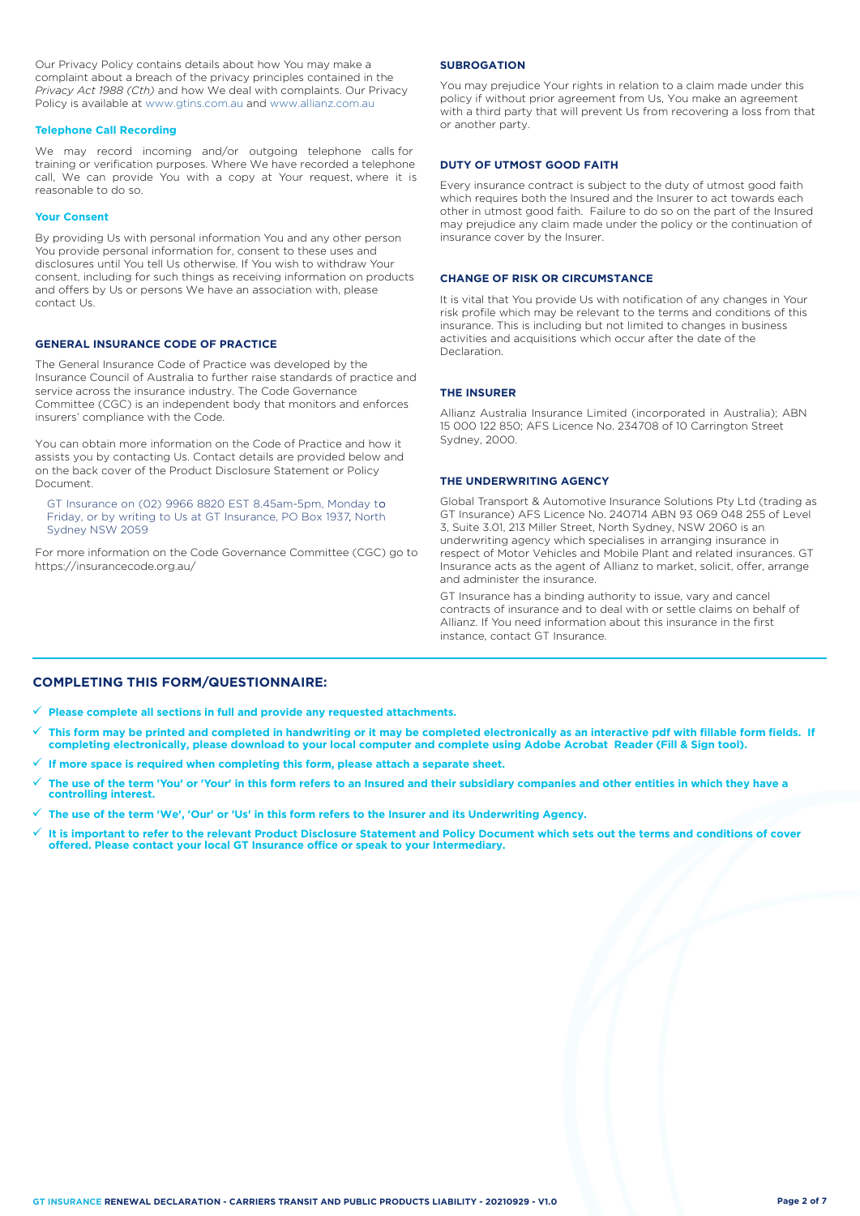Our Privacy Policy contains details about how You may make a complaint about a breach of the privacy principles contained in the *Privacy Act 1988 (Cth)* and how We deal with complaints. Our Privacy Policy is available at [www.gtins.com.au](https://www.gtins.com.au/documents-and-policies/) and [www.allianz.com.au](https://www.allianz.com.au/about-us/privacy/)

#### **Telephone Call Recording**

We may record incoming and/or outgoing telephone calls for training or verification purposes. Where We have recorded a telephone call, We can provide You with a copy at Your request, where it is reasonable to do so.

#### **Your Consent**

By providing Us with personal information You and any other person You provide personal information for, consent to these uses and disclosures until You tell Us otherwise. If You wish to withdraw Your consent, including for such things as receiving information on products and offers by Us or persons We have an association with, please contact Us.

# **GENERAL INSURANCE CODE OF PRACTICE**

The General Insurance Code of Practice was developed by the Insurance Council of Australia to further raise standards of practice and service across the insurance industry. The Code Governance Committee (CGC) is an independent body that monitors and enforces insurers' compliance with the Code.

You can obtain more information on the Code of Practice and how it assists you by contacting Us. Contact details are provided below and on the back cover of the Product Disclosure Statement or Policy Document.

GT Insurance on (02) 9966 8820 EST 8.45am-5pm, Monday to Friday, or by writing to Us at GT Insurance, PO Box 1937, North , Sydney NSW 2059

For more information on the Code Governance Committee (CGC) go to <https://insurancecode.org.au/>

### **SUBROGATION**

You may prejudice Your rights in relation to a claim made under this policy if without prior agreement from Us, You make an agreement with a third party that will prevent Us from recovering a loss from that or another party.

### **DUTY OF UTMOST GOOD FAITH**

Every insurance contract is subject to the duty of utmost good faith which requires both the Insured and the Insurer to act towards each other in utmost good faith. Failure to do so on the part of the Insured may prejudice any claim made under the policy or the continuation of insurance cover by the Insurer.

# **CHANGE OF RISK OR CIRCUMSTANCE**

It is vital that You provide Us with notification of any changes in Your risk profile which may be relevant to the terms and conditions of this insurance. This is including but not limited to changes in business activities and acquisitions which occur after the date of the **Declaration** 

# **THE INSURER**

Allianz Australia Insurance Limited (incorporated in Australia); ABN 15 000 122 850; AFS Licence No. 234708 of 10 Carrington Street Sydney, 2000.

# **THE UNDERWRITING AGENCY**

Global Transport & Automotive Insurance Solutions Pty Ltd (trading as GT Insurance) AFS Licence No. 240714 ABN 93 069 048 255 of Level 3, Suite 3.01, 213 Miller Street, North Sydney, NSW 2060 is an underwriting agency which specialises in arranging insurance in respect of Motor Vehicles and Mobile Plant and related insurances. GT Insurance acts as the agent of Allianz to market, solicit, offer, arrange and administer the insurance.

GT Insurance has a binding authority to issue, vary and cancel contracts of insurance and to deal with or settle claims on behalf of Allianz. If You need information about this insurance in the first instance, contact GT Insurance.

# **COMPLETING THIS FORM/QUESTIONNAIRE:**

**Please complete all sections in full and provide any requested attachments.**

- **This form may be printed and completed in handwriting or it may be completed electronically as an interactive pdf with fillable form fields. If completing electronically, please download to your local computer and complete using Adobe Acrobat Reader (Fill & Sign tool).**
- **If more space is required when completing this form, please attach a separate sheet.**
- **The use of the term 'You' or 'Your' in this form refers to an Insured and their subsidiary companies and other entities in which they have a controlling interest.**
- **The use of the term 'We', 'Our' or 'Us' in this form refers to the Insurer and its Underwriting Agency.**
- **It is important to refer to the relevant Product Disclosure Statement and Policy Document which sets out the terms and conditions of cover offered. Please contact your local GT Insurance office or speak to your Intermediary.**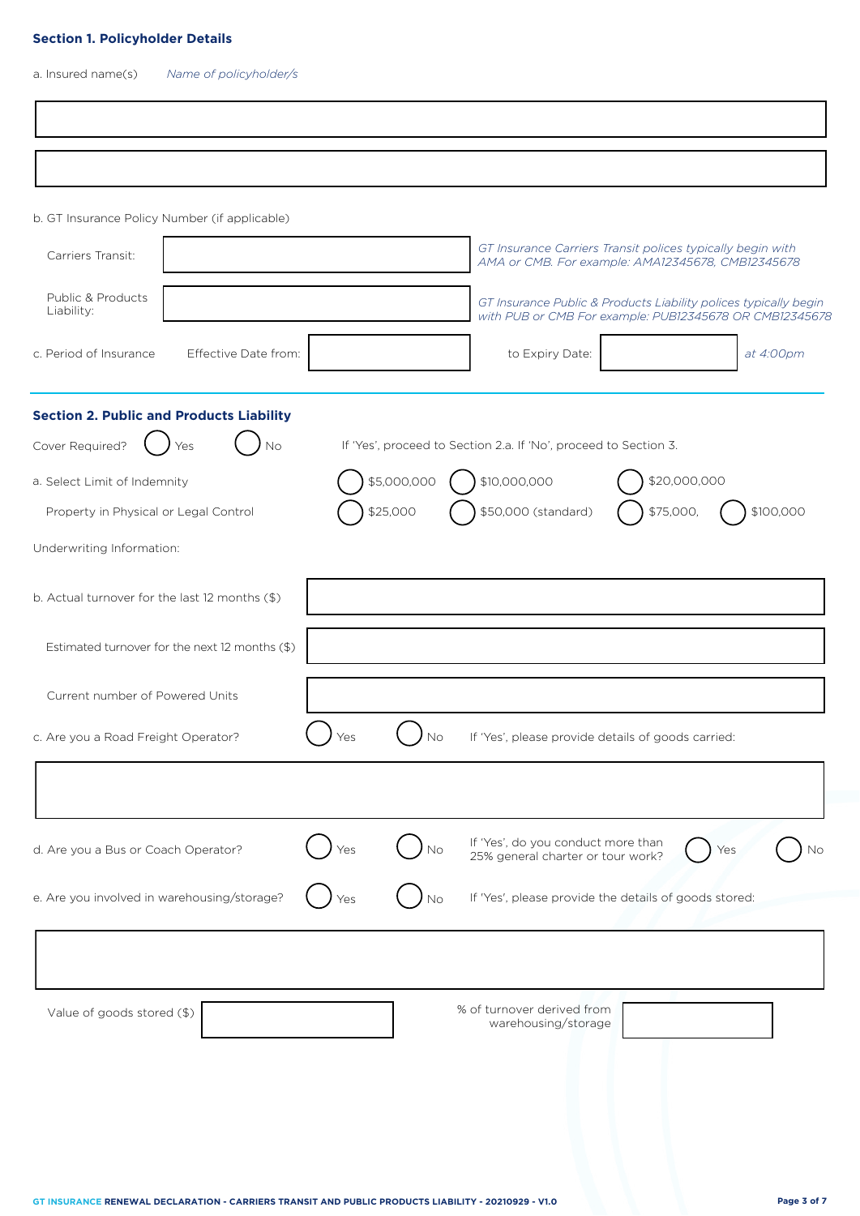# **Section 1. Policyholder Details**

a. Insured name(s) *Name of policyholder/s*

|                                       | b. GT Insurance Policy Number (if applicable)   |     |             |                                                                                                                             |              |           |
|---------------------------------------|-------------------------------------------------|-----|-------------|-----------------------------------------------------------------------------------------------------------------------------|--------------|-----------|
| Carriers Transit:                     |                                                 |     |             | GT Insurance Carriers Transit polices typically begin with<br>AMA or CMB. For example: AMA12345678, CMB12345678             |              |           |
| Public & Products<br>Liability:       |                                                 |     |             | GT Insurance Public & Products Liability polices typically begin<br>with PUB or CMB For example: PUB12345678 OR CMB12345678 |              |           |
| c. Period of Insurance                | Effective Date from:                            |     |             | to Expiry Date:                                                                                                             |              | at 4:00pm |
|                                       | <b>Section 2. Public and Products Liability</b> |     |             |                                                                                                                             |              |           |
| Cover Required?                       | No<br>Yes                                       |     |             | If 'Yes', proceed to Section 2.a. If 'No', proceed to Section 3.                                                            |              |           |
| a. Select Limit of Indemnity          |                                                 |     | \$5,000,000 | \$10,000,000                                                                                                                | \$20,000,000 |           |
| Property in Physical or Legal Control |                                                 |     | \$25,000    | \$50,000 (standard)                                                                                                         | \$75,000,    | \$100,000 |
| Underwriting Information:             |                                                 |     |             |                                                                                                                             |              |           |
|                                       | b. Actual turnover for the last 12 months (\$)  |     |             |                                                                                                                             |              |           |
|                                       | Estimated turnover for the next 12 months (\$)  |     |             |                                                                                                                             |              |           |
| Current number of Powered Units       |                                                 |     |             |                                                                                                                             |              |           |
| c. Are you a Road Freight Operator?   |                                                 | Yes | No          | If 'Yes', please provide details of goods carried:                                                                          |              |           |
|                                       |                                                 |     |             |                                                                                                                             |              |           |
| d. Are you a Bus or Coach Operator?   |                                                 | Yes | Νo          | If 'Yes', do you conduct more than<br>25% general charter or tour work?                                                     |              | Yes<br>Nο |
|                                       | e. Are you involved in warehousing/storage?     |     | N٥          | If 'Yes', please provide the details of goods stored:                                                                       |              |           |
|                                       |                                                 |     |             |                                                                                                                             |              |           |
|                                       | Value of goods stored (\$)                      |     |             | % of turnover derived from<br>warehousing/storage                                                                           |              |           |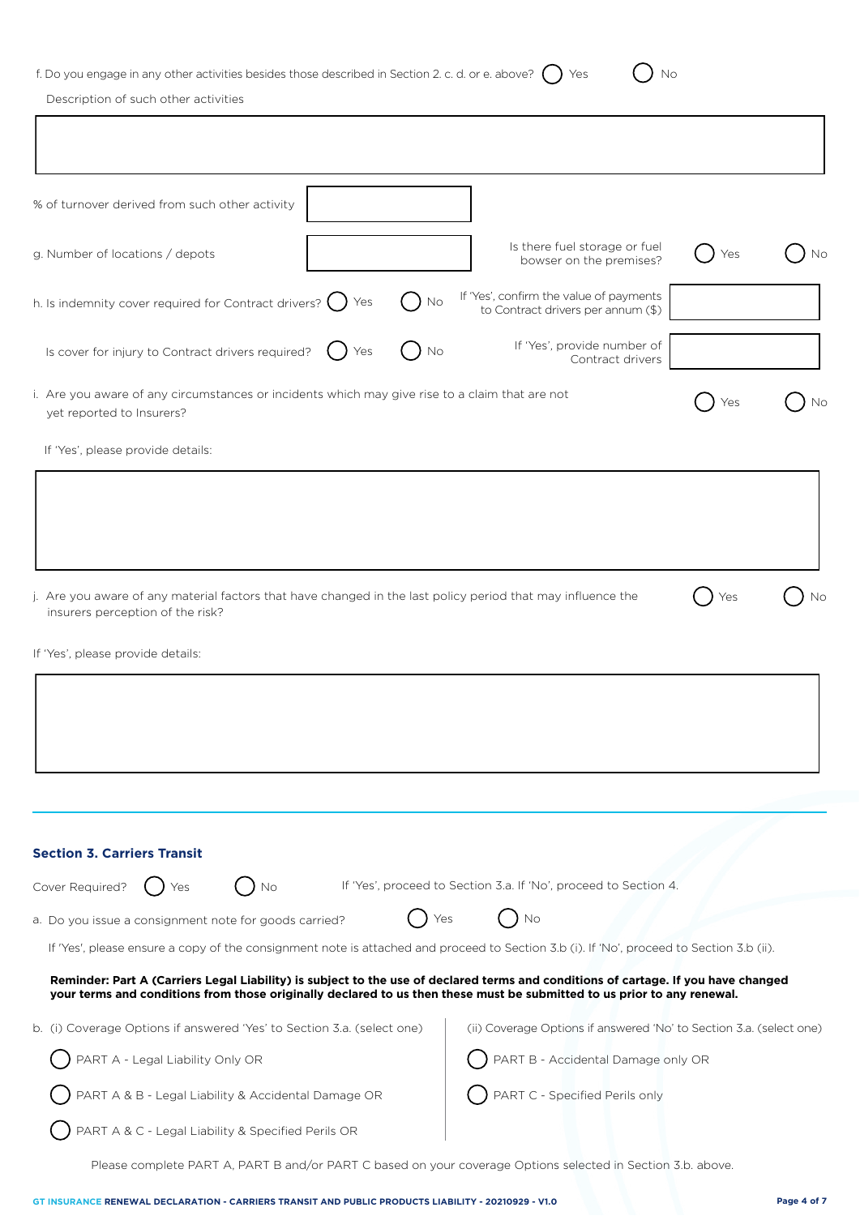# f. Do you engage in any other activities besides those described in Section 2. c. d. or e. above?  $\bigcirc$  Yes  $\bigcirc$  No

Description of such other activities

| % of turnover derived from such other activity                                                                                                                                                                                                                |                                                                               |     |    |
|---------------------------------------------------------------------------------------------------------------------------------------------------------------------------------------------------------------------------------------------------------------|-------------------------------------------------------------------------------|-----|----|
| g. Number of locations / depots                                                                                                                                                                                                                               | Is there fuel storage or fuel<br>bowser on the premises?                      |     | Νo |
| h. Is indemnity cover required for Contract drivers?<br>Yes<br>No                                                                                                                                                                                             | If 'Yes', confirm the value of payments<br>to Contract drivers per annum (\$) |     |    |
| Is cover for injury to Contract drivers required?<br>Yes<br>No                                                                                                                                                                                                | If 'Yes', provide number of<br>Contract drivers                               |     |    |
| i. Are you aware of any circumstances or incidents which may give rise to a claim that are not<br>yet reported to Insurers?                                                                                                                                   |                                                                               |     | Nο |
| If 'Yes', please provide details:                                                                                                                                                                                                                             |                                                                               |     |    |
|                                                                                                                                                                                                                                                               |                                                                               |     |    |
|                                                                                                                                                                                                                                                               |                                                                               |     |    |
|                                                                                                                                                                                                                                                               |                                                                               |     |    |
| j. Are you aware of any material factors that have changed in the last policy period that may influence the                                                                                                                                                   |                                                                               | Yes | Νo |
| insurers perception of the risk?                                                                                                                                                                                                                              |                                                                               |     |    |
| If 'Yes', please provide details:                                                                                                                                                                                                                             |                                                                               |     |    |
|                                                                                                                                                                                                                                                               |                                                                               |     |    |
|                                                                                                                                                                                                                                                               |                                                                               |     |    |
|                                                                                                                                                                                                                                                               |                                                                               |     |    |
|                                                                                                                                                                                                                                                               |                                                                               |     |    |
|                                                                                                                                                                                                                                                               |                                                                               |     |    |
| <b>Section 3. Carriers Transit</b>                                                                                                                                                                                                                            |                                                                               |     |    |
| Cover Required?<br>No<br>Yes                                                                                                                                                                                                                                  | If 'Yes', proceed to Section 3.a. If 'No', proceed to Section 4.              |     |    |
| a. Do you issue a consignment note for goods carried?                                                                                                                                                                                                         | No<br>Yes                                                                     |     |    |
| If 'Yes', please ensure a copy of the consignment note is attached and proceed to Section 3.b (i). If 'No', proceed to Section 3.b (ii).                                                                                                                      |                                                                               |     |    |
| Reminder: Part A (Carriers Legal Liability) is subject to the use of declared terms and conditions of cartage. If you have changed<br>your terms and conditions from those originally declared to us then these must be submitted to us prior to any renewal. |                                                                               |     |    |
| b. (i) Coverage Options if answered 'Yes' to Section 3.a. (select one)                                                                                                                                                                                        | (ii) Coverage Options if answered 'No' to Section 3.a. (select one)           |     |    |
| PART A - Legal Liability Only OR                                                                                                                                                                                                                              | PART B - Accidental Damage only OR                                            |     |    |
| PART A & B - Legal Liability & Accidental Damage OR                                                                                                                                                                                                           | PART C - Specified Perils only                                                |     |    |
| PART A & C - Legal Liability & Specified Perils OR                                                                                                                                                                                                            |                                                                               |     |    |
| Please complete PART A, PART B and/or PART C based on your coverage Options selected in Section 3.b. above.                                                                                                                                                   |                                                                               |     |    |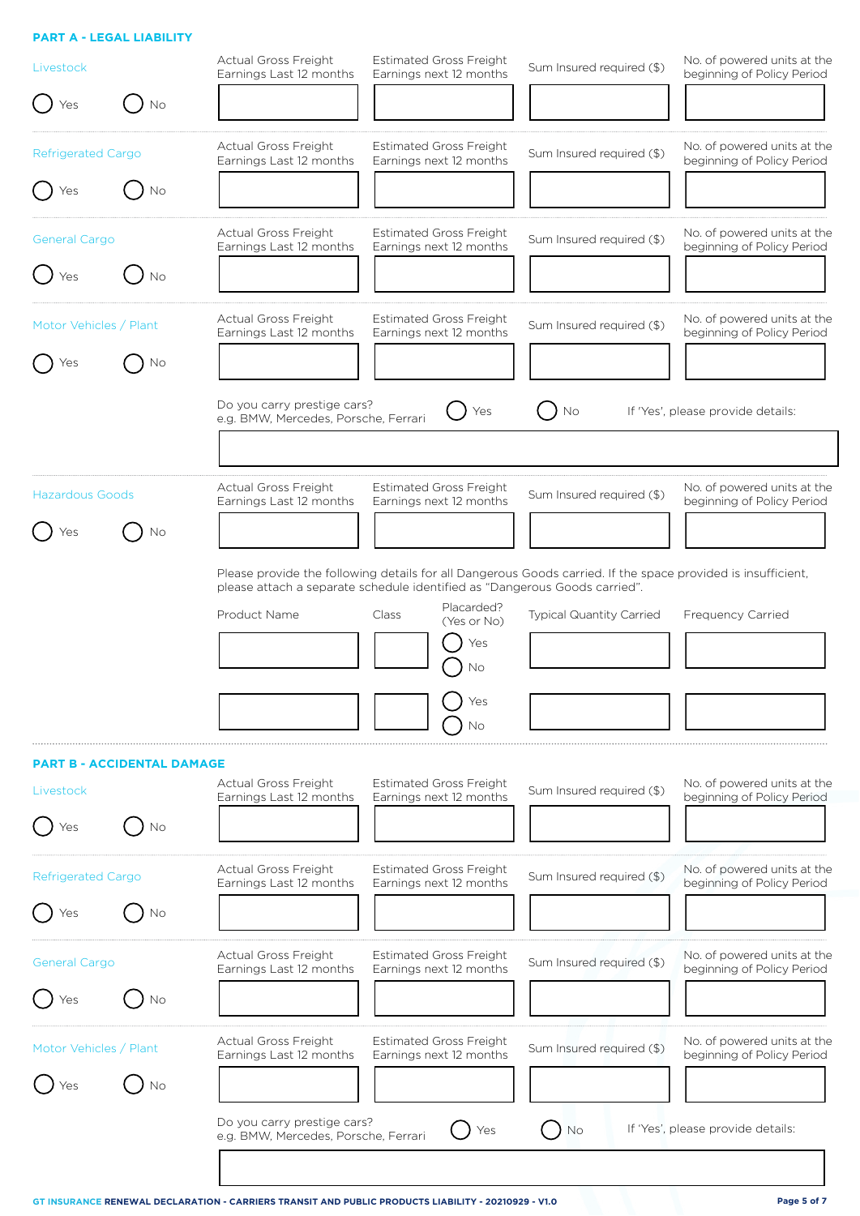# **PART A - LEGAL LIABILITY**

| Livestock                 |                                   | <b>Actual Gross Freight</b><br>Earnings Last 12 months              | <b>Estimated Gross Freight</b><br>Earnings next 12 months                                                                                                                                  | Sum Insured required (\$)       | No. of powered units at the<br>beginning of Policy Period |
|---------------------------|-----------------------------------|---------------------------------------------------------------------|--------------------------------------------------------------------------------------------------------------------------------------------------------------------------------------------|---------------------------------|-----------------------------------------------------------|
| Yes                       | Νo                                |                                                                     |                                                                                                                                                                                            |                                 |                                                           |
| Refrigerated Cargo        |                                   | Actual Gross Freight<br>Earnings Last 12 months                     | <b>Estimated Gross Freight</b><br>Earnings next 12 months                                                                                                                                  | Sum Insured required (\$)       | No. of powered units at the<br>beginning of Policy Period |
| Yes                       | No                                |                                                                     |                                                                                                                                                                                            |                                 |                                                           |
| General Cargo             |                                   | <b>Actual Gross Freight</b><br>Earnings Last 12 months              | <b>Estimated Gross Freight</b><br>Earnings next 12 months                                                                                                                                  | Sum Insured required (\$)       | No. of powered units at the<br>beginning of Policy Period |
| Yes                       | Νo                                |                                                                     |                                                                                                                                                                                            |                                 |                                                           |
| Motor Vehicles / Plant    |                                   | Actual Gross Freight<br>Earnings Last 12 months                     | <b>Estimated Gross Freight</b><br>Earnings next 12 months                                                                                                                                  | Sum Insured required (\$)       | No. of powered units at the<br>beginning of Policy Period |
|                           | Νo                                |                                                                     |                                                                                                                                                                                            |                                 |                                                           |
|                           |                                   | Do you carry prestige cars?<br>e.g. BMW, Mercedes, Porsche, Ferrari | Yes                                                                                                                                                                                        | No                              | If 'Yes', please provide details:                         |
|                           |                                   |                                                                     |                                                                                                                                                                                            |                                 |                                                           |
| <b>Hazardous Goods</b>    |                                   | <b>Actual Gross Freight</b><br>Earnings Last 12 months              | <b>Estimated Gross Freight</b><br>Earnings next 12 months                                                                                                                                  | Sum Insured required (\$)       | No. of powered units at the<br>beginning of Policy Period |
|                           | Νo                                |                                                                     |                                                                                                                                                                                            |                                 |                                                           |
|                           |                                   |                                                                     | Please provide the following details for all Dangerous Goods carried. If the space provided is insufficient,<br>please attach a separate schedule identified as "Dangerous Goods carried". |                                 |                                                           |
|                           |                                   | Product Name                                                        | Placarded?<br>Class<br>(Yes or No)                                                                                                                                                         | <b>Typical Quantity Carried</b> | <b>Frequency Carried</b>                                  |
|                           |                                   |                                                                     | Yes<br>Νo                                                                                                                                                                                  |                                 |                                                           |
|                           |                                   |                                                                     | Yes<br>Νo                                                                                                                                                                                  |                                 |                                                           |
|                           | <b>PART B - ACCIDENTAL DAMAGE</b> |                                                                     |                                                                                                                                                                                            |                                 |                                                           |
| Livestock                 |                                   | <b>Actual Gross Freight</b><br>Earnings Last 12 months              | <b>Estimated Gross Freight</b><br>Earnings next 12 months                                                                                                                                  | Sum Insured required (\$)       | No. of powered units at the<br>beginning of Policy Period |
| Yes                       | Νo                                |                                                                     |                                                                                                                                                                                            |                                 |                                                           |
| <b>Refrigerated Cargo</b> |                                   | Actual Gross Freight<br>Earnings Last 12 months                     | <b>Estimated Gross Freight</b><br>Earnings next 12 months                                                                                                                                  | Sum Insured required (\$)       | No. of powered units at the<br>beginning of Policy Period |
| Yes                       | Νo                                |                                                                     |                                                                                                                                                                                            |                                 |                                                           |
| <b>General Cargo</b>      |                                   | <b>Actual Gross Freight</b><br>Earnings Last 12 months              | <b>Estimated Gross Freight</b><br>Earnings next 12 months                                                                                                                                  | Sum Insured required (\$)       | No. of powered units at the<br>beginning of Policy Period |
| Yes                       | Νo                                |                                                                     |                                                                                                                                                                                            |                                 |                                                           |
| Motor Vehicles / Plant    |                                   | Actual Gross Freight<br>Earnings Last 12 months                     | <b>Estimated Gross Freight</b><br>Earnings next 12 months                                                                                                                                  | Sum Insured required (\$)       | No. of powered units at the<br>beginning of Policy Period |
|                           | Νo                                |                                                                     |                                                                                                                                                                                            |                                 |                                                           |
|                           |                                   | Do you carry prestige cars?<br>e.g. BMW, Mercedes, Porsche, Ferrari | Yes                                                                                                                                                                                        | No                              | If 'Yes', please provide details:                         |
|                           |                                   |                                                                     |                                                                                                                                                                                            |                                 |                                                           |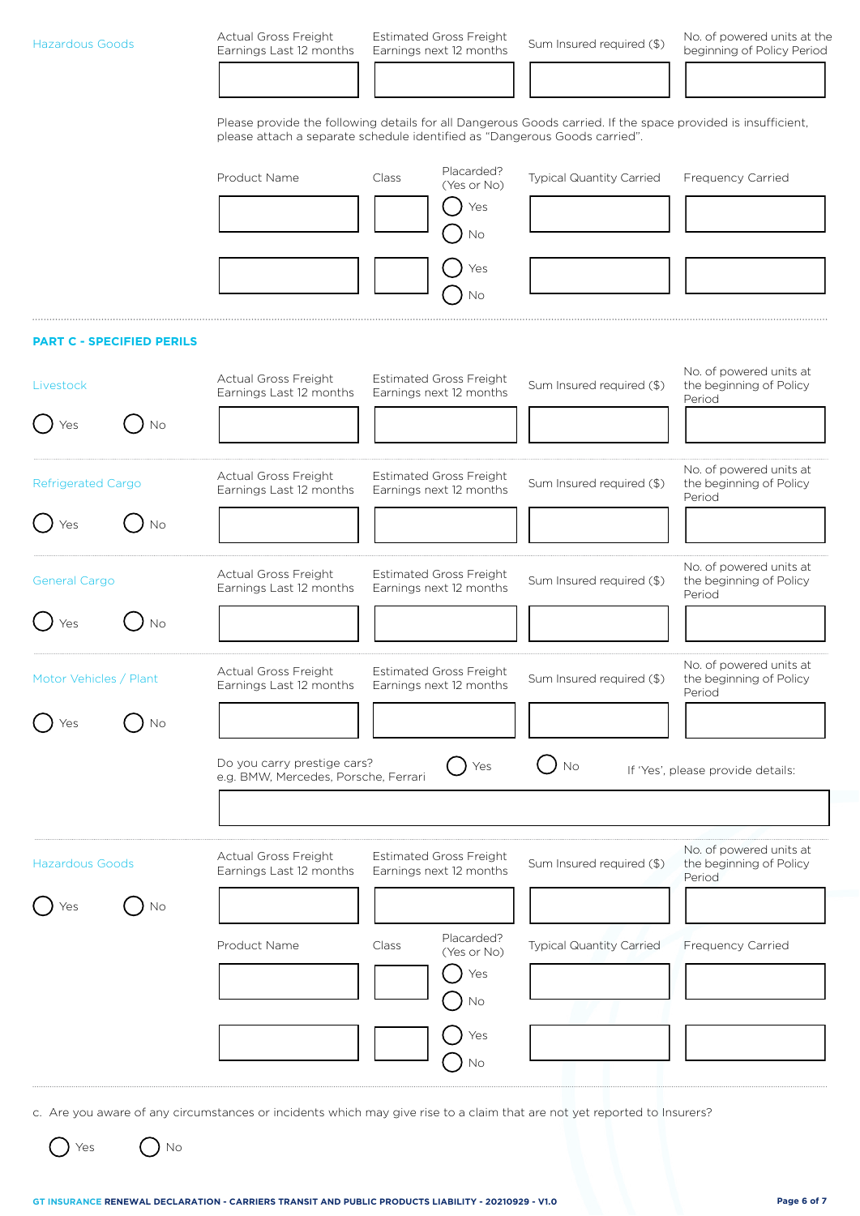| <b>Hazardous Goods</b>           |    | Actual Gross Freight<br>Earnings Last 12 months                     | <b>Estimated Gross Freight</b><br>Earnings next 12 months                  | Sum Insured required (\$)                                                                                    | No. of powered units at the<br>beginning of Policy Period    |
|----------------------------------|----|---------------------------------------------------------------------|----------------------------------------------------------------------------|--------------------------------------------------------------------------------------------------------------|--------------------------------------------------------------|
|                                  |    |                                                                     |                                                                            |                                                                                                              |                                                              |
|                                  |    |                                                                     | please attach a separate schedule identified as "Dangerous Goods carried". | Please provide the following details for all Dangerous Goods carried. If the space provided is insufficient, |                                                              |
|                                  |    | Product Name                                                        | Placarded?<br>Class<br>(Yes or No)                                         | Typical Quantity Carried                                                                                     | Frequency Carried                                            |
|                                  |    |                                                                     | Yes<br>Νo                                                                  |                                                                                                              |                                                              |
|                                  |    |                                                                     | Yes<br>No                                                                  |                                                                                                              |                                                              |
| <b>PART C - SPECIFIED PERILS</b> |    |                                                                     |                                                                            |                                                                                                              |                                                              |
| Livestock                        |    | Actual Gross Freight<br>Earnings Last 12 months                     | <b>Estimated Gross Freight</b><br>Earnings next 12 months                  | Sum Insured required (\$)                                                                                    | No. of powered units at<br>the beginning of Policy<br>Period |
| Yes                              | No |                                                                     |                                                                            |                                                                                                              |                                                              |
| <b>Refrigerated Cargo</b>        |    | Actual Gross Freight<br>Earnings Last 12 months                     | <b>Estimated Gross Freight</b><br>Earnings next 12 months                  | Sum Insured required (\$)                                                                                    | No. of powered units at<br>the beginning of Policy<br>Period |
| Yes                              | No |                                                                     |                                                                            |                                                                                                              |                                                              |
| <b>General Cargo</b>             |    | <b>Actual Gross Freight</b><br>Earnings Last 12 months              | <b>Estimated Gross Freight</b><br>Earnings next 12 months                  | Sum Insured required (\$)                                                                                    | No. of powered units at<br>the beginning of Policy<br>Period |
| Yes                              | Νo |                                                                     |                                                                            |                                                                                                              |                                                              |
| Motor Vehicles / Plant           |    | Actual Gross Freight<br>Earnings Last 12 months                     | <b>Estimated Gross Freight</b><br>Earnings next 12 months                  | Sum Insured required (\$)                                                                                    | No. of powered units at<br>the beginning of Policy<br>Period |
| Yes                              | No |                                                                     |                                                                            |                                                                                                              |                                                              |
|                                  |    | Do you carry prestige cars?<br>e.g. BMW, Mercedes, Porsche, Ferrari | Yes                                                                        | No                                                                                                           | If 'Yes', please provide details:                            |
| <b>Hazardous Goods</b>           |    | Actual Gross Freight<br>Earnings Last 12 months                     | <b>Estimated Gross Freight</b><br>Earnings next 12 months                  | Sum Insured required (\$)                                                                                    | No. of powered units at<br>the beginning of Policy<br>Period |
| Yes                              | No | Product Name                                                        | Placarded?<br>Class<br>(Yes or No)<br>Yes<br>No                            | Typical Quantity Carried                                                                                     | Frequency Carried                                            |
|                                  |    |                                                                     | Yes<br>No                                                                  |                                                                                                              |                                                              |

c. Are you aware of any circumstances or incidents which may give rise to a claim that are not yet reported to Insurers?

 $\bigcirc$  Yes  $\bigcirc$  No